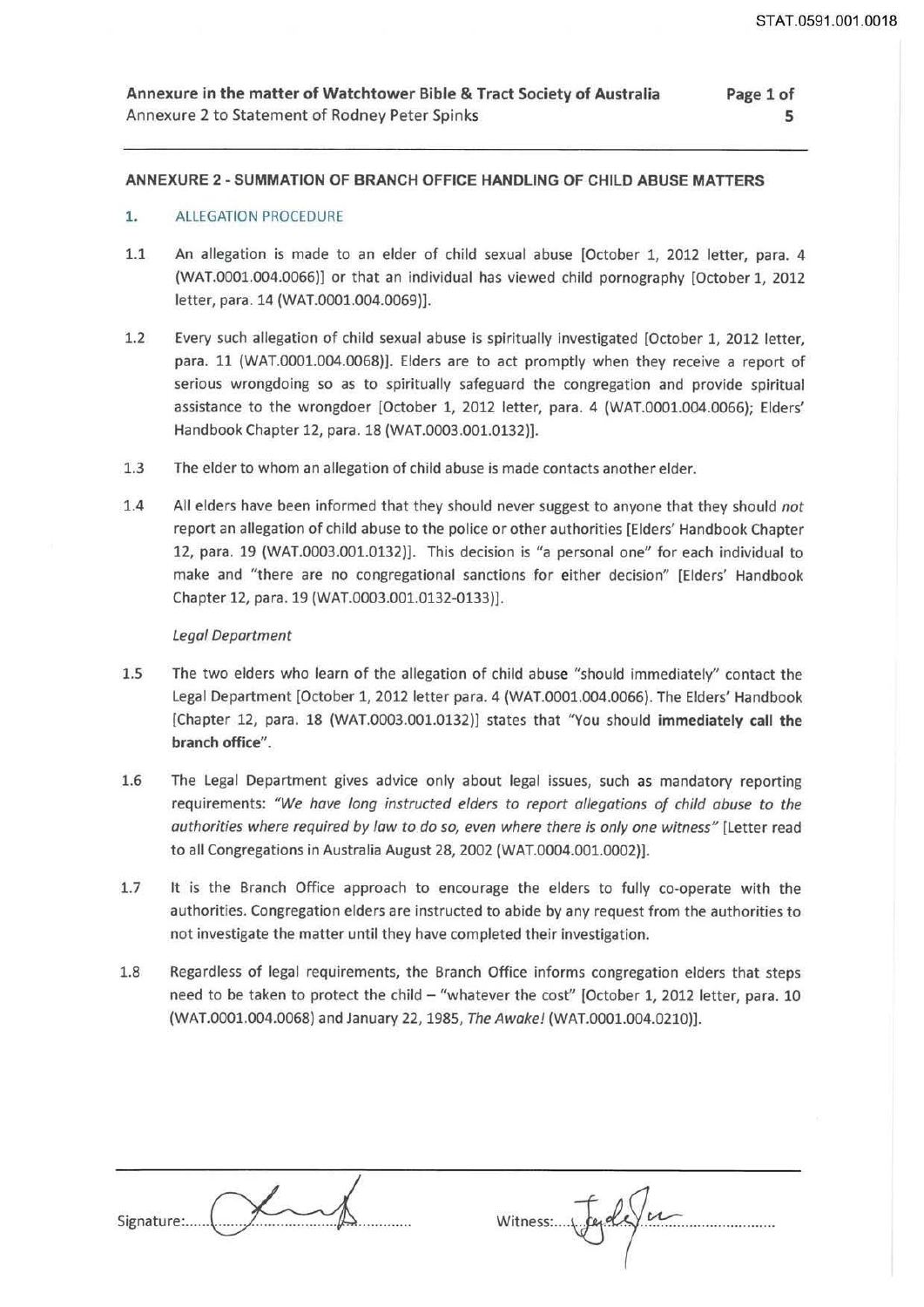#### **Annexure in the matter of Watchtower Bible & Tract Society of Australia**  Annexure 2 to Statement of Rodney Peter Spinks **Page 1 of**

## **ANNEXURE 2 ·SUMMATION OF BRANCH OFFICE HANDLING OF CHILD ABUSE MATTERS**

# 1. ALLEGATION PROCEDURE

- 1.1 An allegation is made to an elder of child sexual abuse [October 1, 2012 letter, para. 4 (WAT.0001.004.0066)] or that an individual has viewed child pornography [October 1, 2012 letter, para. 14 (WAT.0001.004.0069)).
- 1.2 Every such allegation of child sexual abuse is spiritually investigated [October 1, 2012 letter, para. 11 (WAT.0001.004.0068)). Elders are to act promptly when they receive a report of serious wrongdoing so as to spiritually safeguard the congregation and provide spiritual assistance to the wrongdoer [October 1, 2012 letter, para. 4 (WAT.0001.004.0066); Elders' Handbook Chapter 12, para. 18 (WAT.0003.001.0132)].
- 1.3 The elder to whom an allegation of child abuse is made contacts another elder.
- 1.4 All elders have been informed that they should never suggest to anyone that they should *not*  report an allegation of child abuse to the police or other authorities [Elders' Handbook Chapter 12, para. 19 (WAT.0003.001.0132)]. This decision is "a personal one" for each individual to make and "there are no congregational sanctions for either decision" [Elders' Handbook Chapter 12, para. 19 (WAT.0003.001.0132-0133)].

#### *legal Department*

- 1.5 The two elders who learn of the allegation of child abuse "should immediately" contact the Legal Department [October 1, 2012 letter para. 4 (WAT.0001.004.0066). The Elders' Handbook [Chapter 12, para. 18 (WAT.0003.001.0132)] states that "You should **immediately call the branch office".**
- 1.6 The Legal Department gives advice only about legal issues, such as mandatory reporting requirements: *"We have Jong instructed elders to report allegations of child abuse to the authorities where required by law to do so, even where there is only one witness"* [Letter read to all Congregations in Australia August 28, 2002 (WAT.0004.001.0002)].
- 1.7 It is the Branch Office approach to encourage the elders to fully co-operate with the authorities. Congregation elders are instructed to abide by any request from the authorities to not investigate the matter until they have completed their investigation.
- 1.8 Regardless of legal requirements, the Branch Office informs congregation elders that steps need to be taken to protect the child - "whatever the cost" [October 1, 2012 letter, para. 10 (WAT.0001.004.0068) and January 22, 1985, *The Awake!* (WAT.0001.004.0210)].

| Signature: 1. 7 |  |
|-----------------|--|

 $Witness: \sqrt{eq}$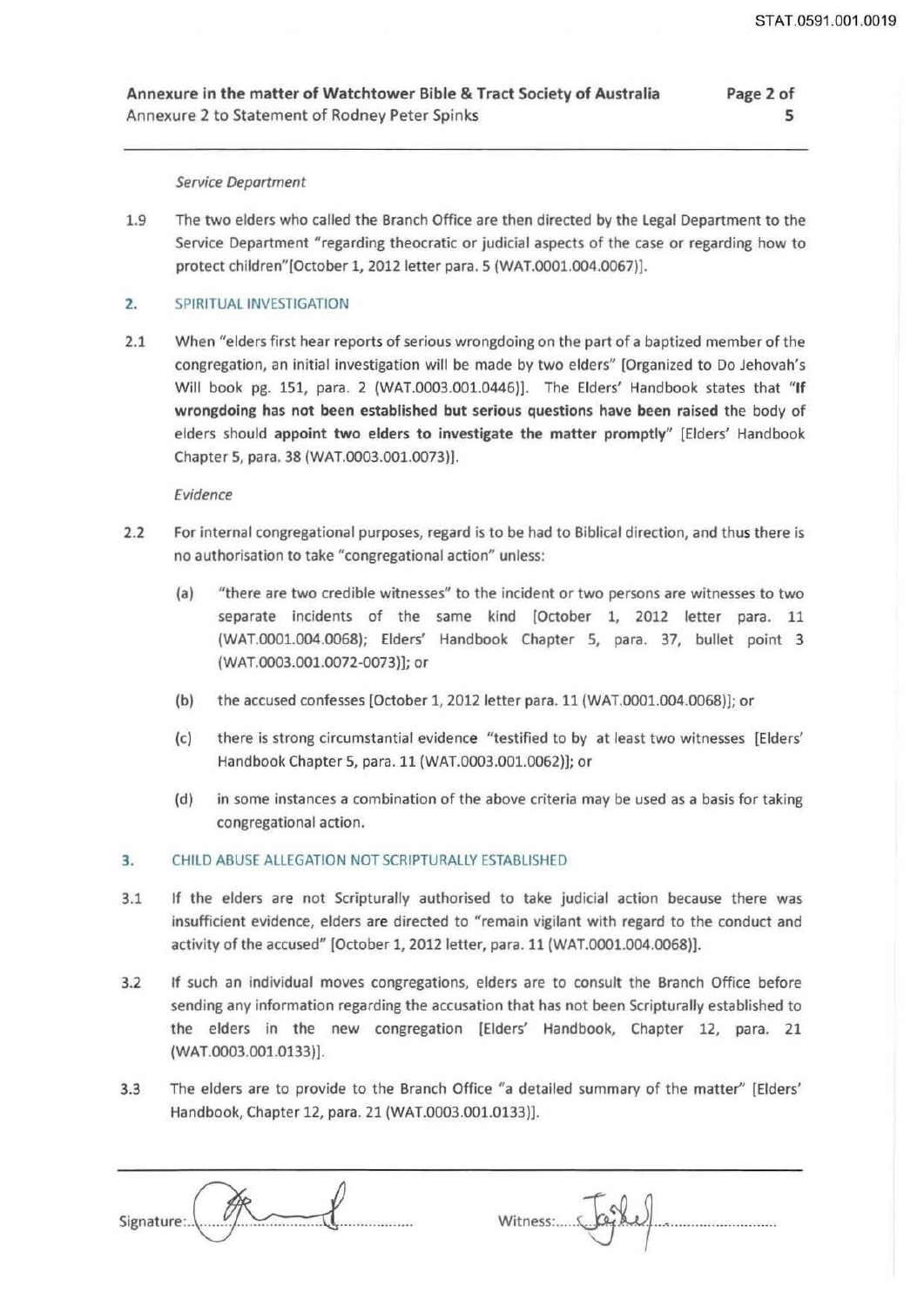Annexure in the matter of Watchtower Bible & Tract Society of Australia Annexure 2 to Statement of Rodney Peter Spinks Page 2 of

### Service Deportment

1.9 The two elders who called the Branch Office are then directed by the Legal Department to the Service Department "regarding theocratic or judicial aspects of the case or regarding how to protect children"[October 1, 2012 letter para. S (WAT.0001.004.0067)].

## 2. SPIRITUAL INVESTIGATION

2.1 When "elders first hear reports of serious wrongdoing on the part of a baptized member of the congregation, an initial investigation will be made by two elders" [Organized to Do Jehovah's Will book pg. 151, para. 2 (WAT.0003.001.0446)]. The Elders' Handbook states that "If wrongdoing has not been established but serious questions have been raised the body of elders should appoint two elders to investigate the matter promptly" [Elders' Handbook Chapter 5, para. 38 (WAT.0003.001.0073)].

### Evidence

- 2.2 For internal congregational purposes, regard is to be had to Biblical direction, and thus there is no authorisation to take "congregational action" unless:
	- (a) "there are two credible witnesses" to the incident or two persons are witnesses to two separate incidents of the same kind [October 1, 2012 letter para. 11 (WAT.0001.004.0068); Elders' Handbook Chapter 5, para. 37, bullet point 3 (WAT.0003.001.0072-0073)]; or
	- (b) the accused confesses [October 1, 2012 letter para. 11 (WAT.0001.004.0068)]; or
	- (c) there is strong circumstantial evidence "testified to by at least two witnesses [Elders' Handbook Chapter 5, para. 11 (WAT.0003.001.0062)]; or
	- (d) in some instances a combination of the above criteria may be used as a basis for taking congregational action.

## 3. CHILD ABUSE ALLEGATION NOT SCRIPTURALLY ESTABLISHED

- 3.1 If the elders are not Scripturally authorised to take judicial action because there was insufficient evidence, elders are directed to "remain vigilant with regard to the conduct and activity of the accused" [October 1, 2012 letter, para. 11 (WAT.0001.004.0068)).
- 3.2 If such an individual moves congregations, elders are to consult the Branch Office before sending any information regarding the accusation that has not been Scripturally established to the elders in the new congregation [Elders' Handbook, Chapter 12, para. 21 (WAT.0003.001.0133)].
- 3.3 The elders are to provide to the Branch Office "a detailed summary of the matter" [Elders' Handbook, Chapter 12, para. 21 (WAT.0003.001.0133)).

| Signature:\ |  |
|-------------|--|

Witness: ..... ~14 ......................... ..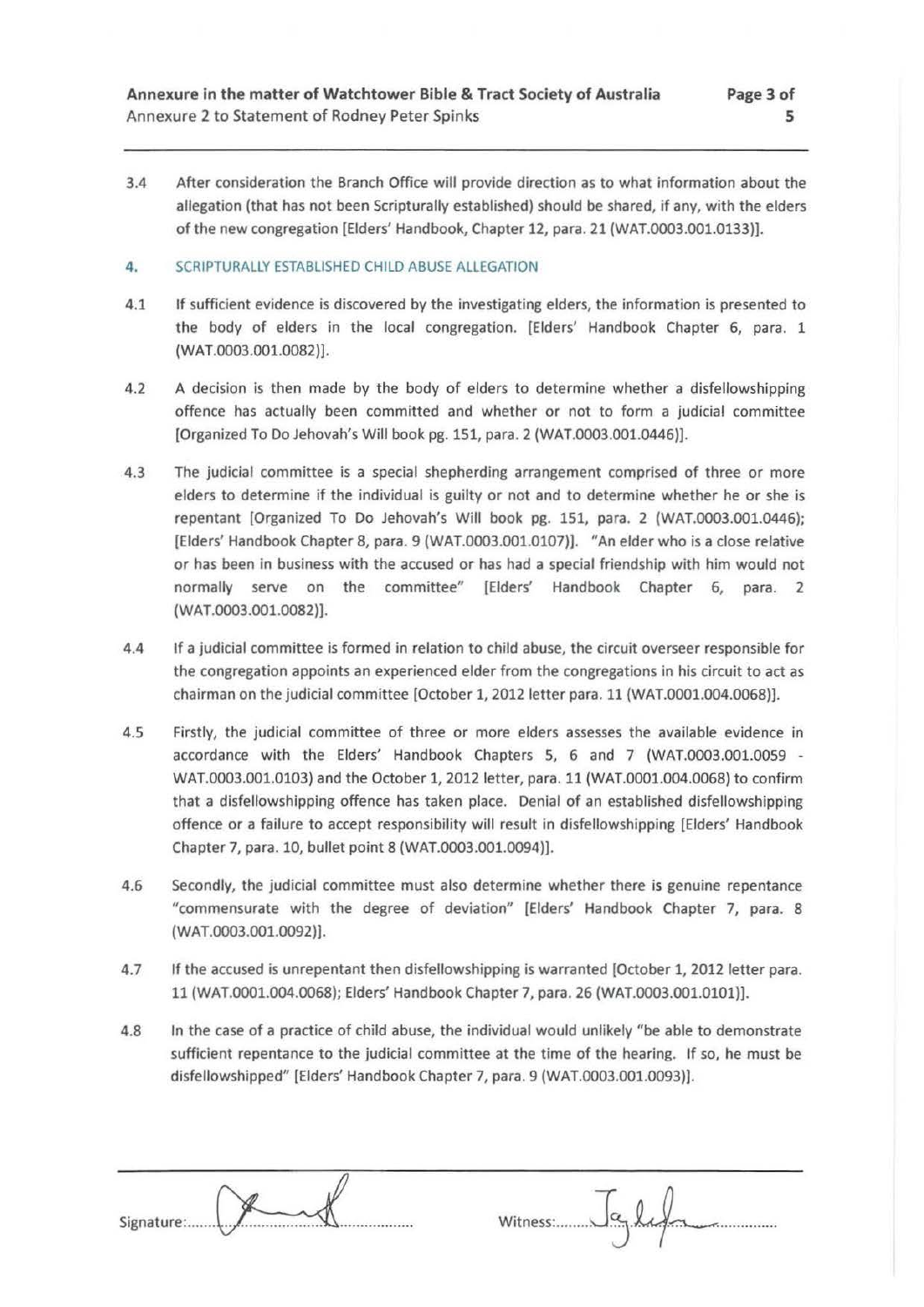3.4 After consideration the Branch Office will provide direction as to what information about the allegation (that has not been Scripturally established) should be shared, if any, with the elders of the new congregation [Elders' Handbook, Chapter 12, para. 21 (WAT.0003.001.0133)].

## **4.** SCRIPTURALLY ESTABLISHED CHILD ABUSE ALLEGATION

- 4.1 If sufficient evidence is discovered by the investigating elders, the information is presented to the body of elders in the local congregation. [Elders' Handbook Chapter 6, para. 1 (WAT.0003.001.0082)].
- 4.2 A decision is then made by the body of elders to determine whether a disfellowshipping offence has actually been committed and whether or not to form a judicial committee [Organized To Do Jehovah's Will book pg. 151, para. 2 (WAT.0003.001.0446)].
- 4.3 The judicial committee is a special shepherding arrangement comprised of three or more elders to determine if the individual is guilty or not and to determine whether he or she is repentant [Organized To Do Jehovah's Will book pg. 151, para. 2 (WAT.0003.001.0446); [Elders' Handbook Chapter 8, para. 9 (WAT.0003.001.0107)). "An elder who is a close relative or has been in business with the accused or has had a special friendship with him would not normally serve on the committee" [Elders' Handbook Chapter 6, para. 2 (WAT.0003.001.0082)).
- 4.4 If a judicial committee is formed in relation to child abuse, the circuit overseer responsible for the congregation appoints an experienced elder from the congregations in his circuit to act as chairman on the judicial committee [October 1, 2012 letter para. 11 (WAT.0001.004.0068)).
- 4.5 Firstly, the judicial committee of three or more elders assesses the available evidence in accordance with the Elders' Handbook Chapters 5, 6 and 7 (WAT.0003.001.0059 - WAT.0003.001.0103) and the October 1, 2012 letter, para. 11 (WAT.0001.004.0068) to confirm that a disfellowshipping offence has taken place. Denial of an established disfellowshipping offence or a failure to accept responsibility will result in disfellowshipping [Elders' Handbook Chapter 7, para. 10, bullet point 8 (WAT.0003.001.0094)).
- 4.6 Secondly, the judicial committee must also determine whether there is genuine repentance "commensurate with the degree of deviation" (Elders' Handbook Chapter 7, para. 8 (WAT.0003.001.0092)).
- 4.7 If the accused is unrepentant then disfellowshipping is warranted [October 1, 2012 letter para. 11 (WAT.0001.004.0068); Elders' Handbook Chapter 7, para. 26 (WAT.0003.001.0101)).
- 4.8 In the case of a practice of child abuse, the individual would unlikely "be able to demonstrate sufficient repentance to the judicial committee at the time of the hearing. If so, he must be disfellowshipped" [Elders' Handbook Chapter 7, para. 9 (WAT.0003.001.0093)).

| Signature: | Witness: 19 Leg |
|------------|-----------------|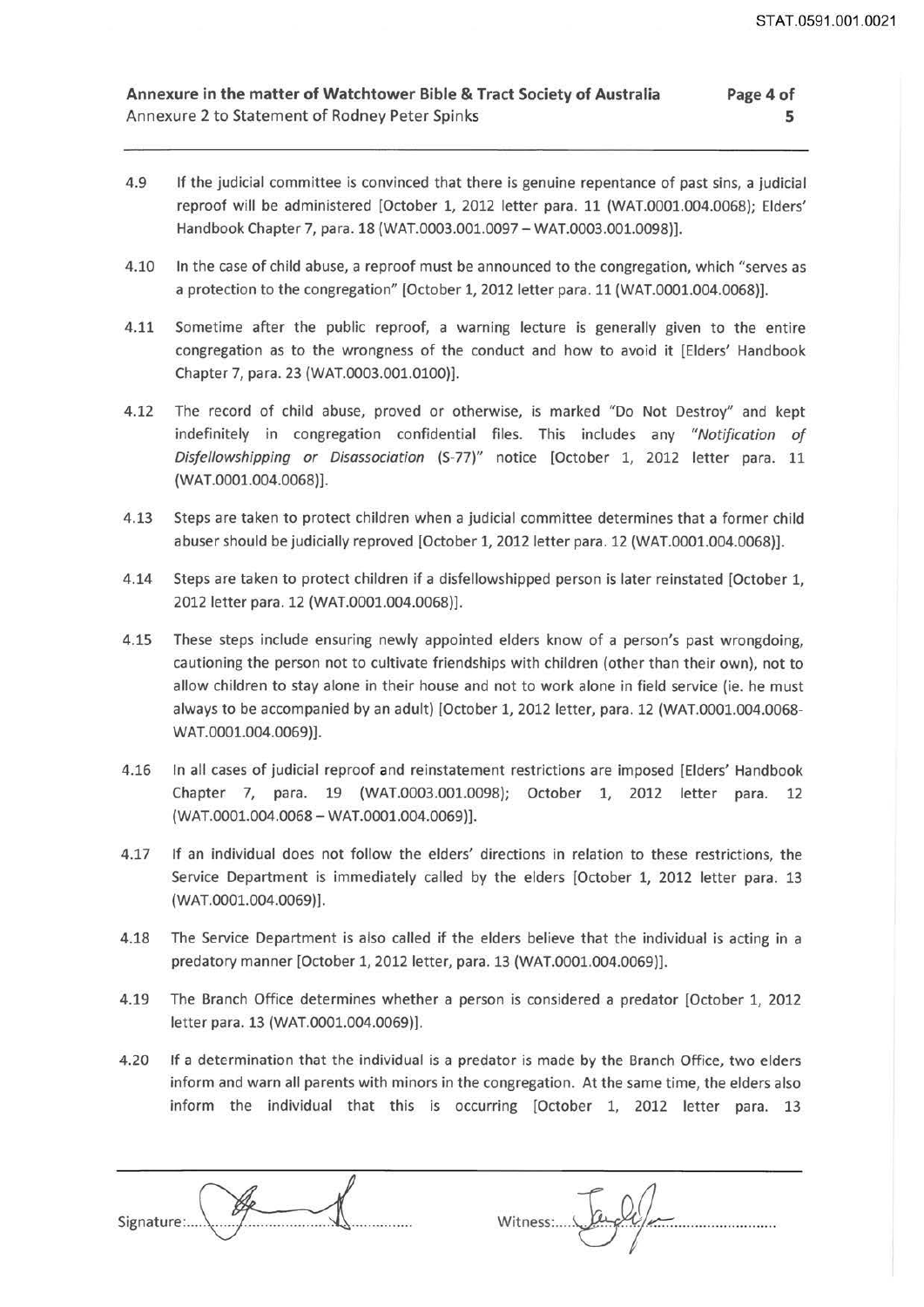- 4.9 If the judicial committee is convinced that there is genuine repentance of past sins, a judicial reproof will be administered (October 1, 2012 letter para. 11 (WAT.0001.004.0068); Elders' Handbook Chapter 7, para. 18 (WAT.0003.001.0097 - WAT.0003.001.0098)].
- 4.10 In the case of child abuse, a reproof must be announced to the congregation, which "serves as a protection to the congregation" (October 1, 2012 letter para. 11 (WAT.0001.004.0068)].
- 4.11 Sometime after the public reproof, a warning lecture is generally given to the entire congregation as to the wrongness of the conduct and how to avoid it [Elders' Handbook Chapter 7, para. 23 (WAT.0003.001.0100)].
- 4.12 The record of child abuse, proved or otherwise, is marked "Do Not Destroy" and kept indefinitely in congregation confidential files. This includes any *"Notification of Disfellowshipping or Disassociation* (S-77)" notice [October 1, 2012 letter para. 11 (WAT.0001.004.0068)].
- 4.13 Steps are taken to protect children when a judicial committee determines that a former child abuser should be judicially reproved [October 1, 2012 letter para. 12 (WAT.0001.004.0068)].
- 4.14 Steps are taken to protect children if a disfellowshipped person is later reinstated [October 1, 2012 letter para. 12 (WAT.0001.004.0068)].
- 4.15 These steps include ensuring newly appointed elders know of a person's past wrongdoing, cautioning the person not to cultivate friendships with children (other than their own), not to allow children to stay alone in their house and not to work alone in field service (ie. he must always to be accompanied by an adult) [October 1, 2012 letter, para. 12 (WAT.0001.004.0068- WAT.0001.004.0069)].
- 4.16 In all cases of judicial reproof and reinstatement restrictions are imposed [Elders' Handbook Chapter 7, para. 19 (WAT.0003.001.0098); October 1, 2012 letter para. 12 (WAT.0001.004.0068-WAT.0001.004.0069)].
- 4.17 If an individual does not follow the elders' directions in relation to these restrictions, the Service Department is immediately called by the elders [October 1, 2012 letter para. 13 (WAT.0001.004.0069)].
- 4.18 The Service Department is also called if the elders believe that the individual is acting in a predatory manner [October 1, 2012 letter, para. 13 (WAT.0001.004.0069)].
- 4.19 The Branch Office determines whether a person is considered a predator [October 1, 2012 letter para. 13 (WAT.0001.004.0069)].
- 4.20 If a determination that the individual is a predator is made by the Branch Office, two elders inform and warn all parents with minors in the congregation. At the same time, the elders also inform the individual that this is occurring [October 1, 2012 letter para. 13



Witness .... ~ Fample